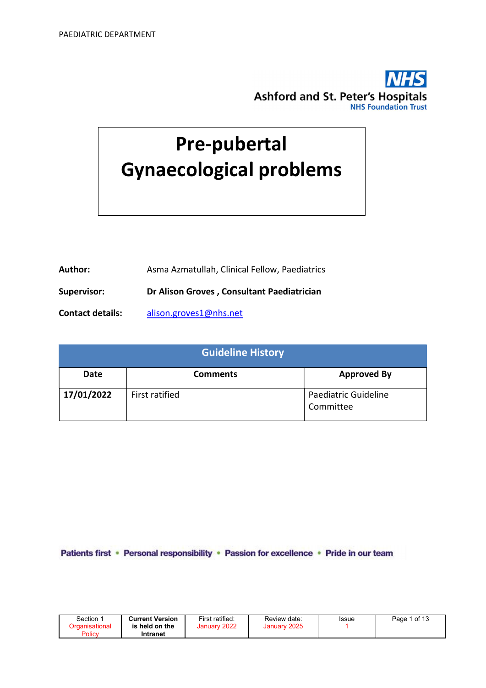

# Pre-pubertal Gynaecological problems

Author: Asma Azmatullah, Clinical Fellow, Paediatrics

Supervisor: Dr Alison Groves , Consultant Paediatrician

Contact details: alison.groves1@nhs.net

| <b>Guideline History</b> |                 |                                   |  |  |  |  |
|--------------------------|-----------------|-----------------------------------|--|--|--|--|
| Date                     | <b>Comments</b> | <b>Approved By</b>                |  |  |  |  |
| 17/01/2022               | First ratified  | Paediatric Guideline<br>Committee |  |  |  |  |

Patients first · Personal responsibility · Passion for excellence · Pride in our team

| Section        | <b>Current Version</b> | First ratified: | Review date: | Issue | 1 of 13<br>Page |
|----------------|------------------------|-----------------|--------------|-------|-----------------|
| Drganisational | is held on the         | 2022<br>January | January 2025 |       |                 |
| Policy         | Intranet               |                 |              |       |                 |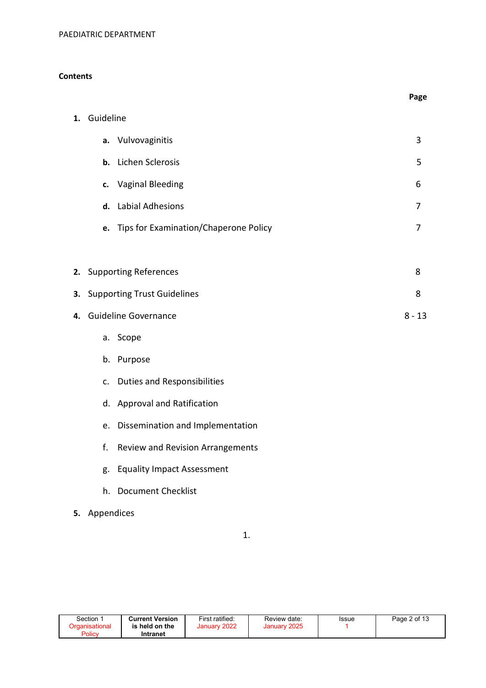# **Contents**

|    |               |                                         | Page     |
|----|---------------|-----------------------------------------|----------|
| 1. | Guideline     |                                         |          |
|    | a.            | Vulvovaginitis                          | 3        |
|    | b.            | Lichen Sclerosis                        | 5        |
|    | c.            | <b>Vaginal Bleeding</b>                 | 6        |
|    | d.            | <b>Labial Adhesions</b>                 | 7        |
|    | e.            | Tips for Examination/Chaperone Policy   | 7        |
|    |               |                                         |          |
| 2. |               | <b>Supporting References</b>            | 8        |
| 3. |               | <b>Supporting Trust Guidelines</b>      | 8        |
| 4. |               | <b>Guideline Governance</b>             | $8 - 13$ |
|    | a.            | Scope                                   |          |
|    | b.            | Purpose                                 |          |
|    | c.            | <b>Duties and Responsibilities</b>      |          |
|    |               | d. Approval and Ratification            |          |
|    | e.            | Dissemination and Implementation        |          |
|    | f.            | <b>Review and Revision Arrangements</b> |          |
|    | g.            | <b>Equality Impact Assessment</b>       |          |
|    |               | h. Document Checklist                   |          |
|    | 5. Appendices |                                         |          |

1.

| Section 1      | <b>Current Version</b> | First ratified: | Review date: | Issue | Page 2 of 13 |
|----------------|------------------------|-----------------|--------------|-------|--------------|
| Organisational | is held on the         | January 2022    | January 2025 |       |              |
| Policv         | Intranet               |                 |              |       |              |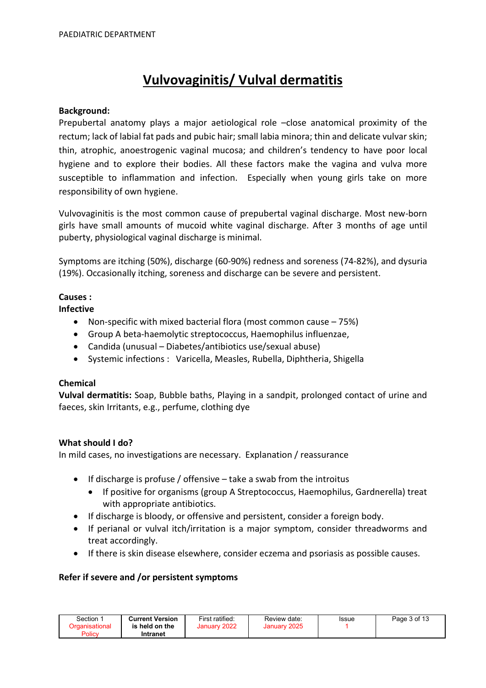# Vulvovaginitis/ Vulval dermatitis

# Background:

Prepubertal anatomy plays a major aetiological role –close anatomical proximity of the rectum; lack of labial fat pads and pubic hair; small labia minora; thin and delicate vulvar skin; thin, atrophic, anoestrogenic vaginal mucosa; and children's tendency to have poor local hygiene and to explore their bodies. All these factors make the vagina and vulva more susceptible to inflammation and infection. Especially when young girls take on more responsibility of own hygiene.

Vulvovaginitis is the most common cause of prepubertal vaginal discharge. Most new-born girls have small amounts of mucoid white vaginal discharge. After 3 months of age until puberty, physiological vaginal discharge is minimal.

Symptoms are itching (50%), discharge (60-90%) redness and soreness (74-82%), and dysuria (19%). Occasionally itching, soreness and discharge can be severe and persistent.

# Causes :

Infective

- Non-specific with mixed bacterial flora (most common cause 75%)
- Group A beta-haemolytic streptococcus, Haemophilus influenzae,
- Candida (unusual Diabetes/antibiotics use/sexual abuse)
- Systemic infections : Varicella, Measles, Rubella, Diphtheria, Shigella

# Chemical

Vulval dermatitis: Soap, Bubble baths, Playing in a sandpit, prolonged contact of urine and faeces, skin Irritants, e.g., perfume, clothing dye

# What should I do?

In mild cases, no investigations are necessary. Explanation / reassurance

- $\bullet$  If discharge is profuse / offensive take a swab from the introitus
	- If positive for organisms (group A Streptococcus, Haemophilus, Gardnerella) treat with appropriate antibiotics.
- If discharge is bloody, or offensive and persistent, consider a foreign body.
- If perianal or vulval itch/irritation is a major symptom, consider threadworms and treat accordingly.
- If there is skin disease elsewhere, consider eczema and psoriasis as possible causes.

# Refer if severe and /or persistent symptoms

| Section | <b>Current Version</b> | First ratified: | Review date: | Issue | Page 3 of 13 |
|---------|------------------------|-----------------|--------------|-------|--------------|
|         | is held on the         | January 2022    | January 2025 |       |              |
| Policy  | Intranet               |                 |              |       |              |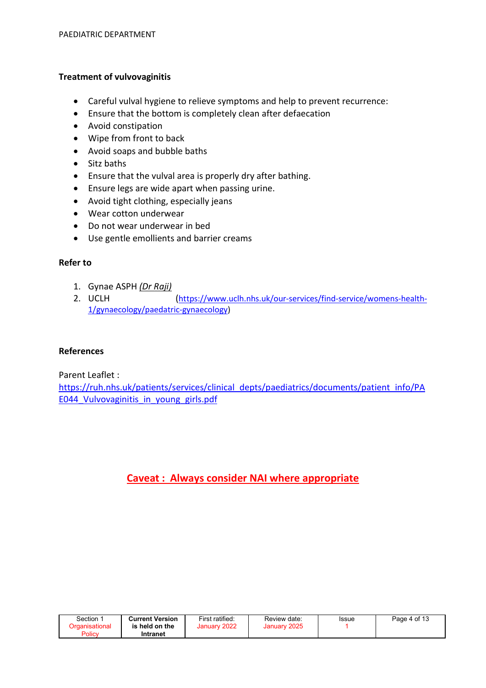# Treatment of vulvovaginitis

- Careful vulval hygiene to relieve symptoms and help to prevent recurrence:
- Ensure that the bottom is completely clean after defaecation
- Avoid constipation
- Wipe from front to back
- Avoid soaps and bubble baths
- Sitz baths
- Ensure that the vulval area is properly dry after bathing.
- Ensure legs are wide apart when passing urine.
- Avoid tight clothing, especially jeans
- Wear cotton underwear
- Do not wear underwear in bed
- Use gentle emollients and barrier creams

# Refer to

- 1. Gynae ASPH (Dr Raji)
- 2. UCLH (https://www.uclh.nhs.uk/our-services/find-service/womens-health-1/gynaecology/paedatric-gynaecology)

# References

Parent Leaflet :

https://ruh.nhs.uk/patients/services/clinical\_depts/paediatrics/documents/patient\_info/PA E044 Vulvovaginitis in young girls.pdf

# Caveat : Always consider NAI where appropriate

| Section | <b>Current Version</b> | First ratified: | Review date:              | Issue | Page 4 of 13 |
|---------|------------------------|-----------------|---------------------------|-------|--------------|
|         | is held on the         | 2022<br>January | $\degree$ 2025<br>January |       |              |
| Policy  | Intranet               |                 |                           |       |              |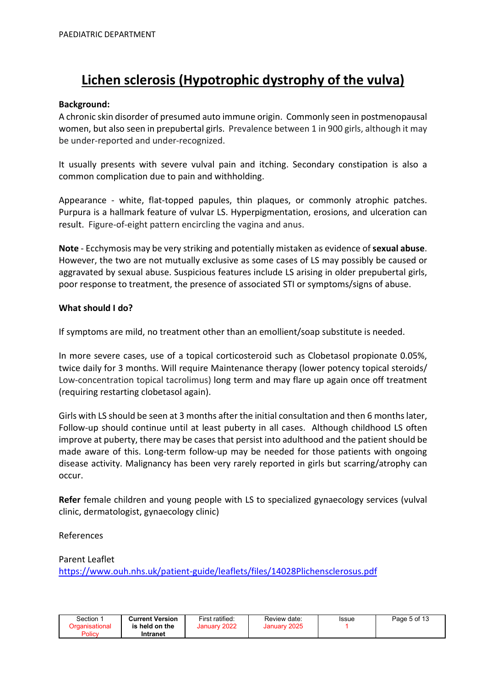# Lichen sclerosis (Hypotrophic dystrophy of the vulva)

# Background:

A chronic skin disorder of presumed auto immune origin. Commonly seen in postmenopausal women, but also seen in prepubertal girls. Prevalence between 1 in 900 girls, although it may be under-reported and under-recognized.

It usually presents with severe vulval pain and itching. Secondary constipation is also a common complication due to pain and withholding.

Appearance - white, flat-topped papules, thin plaques, or commonly atrophic patches. Purpura is a hallmark feature of vulvar LS. Hyperpigmentation, erosions, and ulceration can result. Figure-of-eight pattern encircling the vagina and anus.

Note - Ecchymosis may be very striking and potentially mistaken as evidence of sexual abuse. However, the two are not mutually exclusive as some cases of LS may possibly be caused or aggravated by sexual abuse. Suspicious features include LS arising in older prepubertal girls, poor response to treatment, the presence of associated STI or symptoms/signs of abuse.

### What should I do?

If symptoms are mild, no treatment other than an emollient/soap substitute is needed.

In more severe cases, use of a topical corticosteroid such as Clobetasol propionate 0.05%, twice daily for 3 months. Will require Maintenance therapy (lower potency topical steroids/ Low-concentration topical tacrolimus) long term and may flare up again once off treatment (requiring restarting clobetasol again).

Girls with LS should be seen at 3 months after the initial consultation and then 6 months later, Follow-up should continue until at least puberty in all cases. Although childhood LS often improve at puberty, there may be cases that persist into adulthood and the patient should be made aware of this. Long-term follow-up may be needed for those patients with ongoing disease activity. Malignancy has been very rarely reported in girls but scarring/atrophy can occur.

Refer female children and young people with LS to specialized gynaecology services (vulval clinic, dermatologist, gynaecology clinic)

# References

# Parent Leaflet

https://www.ouh.nhs.uk/patient-guide/leaflets/files/14028Plichensclerosus.pdf

| Section               | <b>Current Version</b> | First ratified: | Review date: | Issue | Page 5 of 13 |
|-----------------------|------------------------|-----------------|--------------|-------|--------------|
| <u>Drɑanisational</u> | is held on the         | January 2022    | January 2025 |       |              |
| Policy                | Intranet               |                 |              |       |              |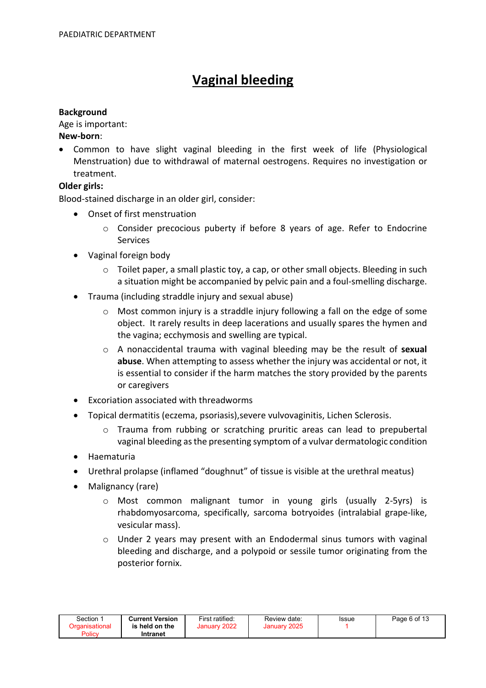# Vaginal bleeding

## **Background**

Age is important:

# New-born:

 Common to have slight vaginal bleeding in the first week of life (Physiological Menstruation) due to withdrawal of maternal oestrogens. Requires no investigation or treatment.

# Older girls:

Blood-stained discharge in an older girl, consider:

- Onset of first menstruation
	- $\circ$  Consider precocious puberty if before 8 years of age. Refer to Endocrine Services
- Vaginal foreign body
	- $\circ$  Toilet paper, a small plastic toy, a cap, or other small objects. Bleeding in such a situation might be accompanied by pelvic pain and a foul-smelling discharge.
- Trauma (including straddle injury and sexual abuse)
	- $\circ$  Most common injury is a straddle injury following a fall on the edge of some object. It rarely results in deep lacerations and usually spares the hymen and the vagina; ecchymosis and swelling are typical.
	- o A nonaccidental trauma with vaginal bleeding may be the result of sexual abuse. When attempting to assess whether the injury was accidental or not, it is essential to consider if the harm matches the story provided by the parents or caregivers
- Excoriation associated with threadworms
- Topical dermatitis (eczema, psoriasis),severe vulvovaginitis, Lichen Sclerosis.
	- o Trauma from rubbing or scratching pruritic areas can lead to prepubertal vaginal bleeding as the presenting symptom of a vulvar dermatologic condition
- Haematuria
- Urethral prolapse (inflamed "doughnut" of tissue is visible at the urethral meatus)
- Malignancy (rare)
	- o Most common malignant tumor in young girls (usually 2-5yrs) is rhabdomyosarcoma, specifically, sarcoma botryoides (intralabial grape-like, vesicular mass).
	- $\circ$  Under 2 years may present with an Endodermal sinus tumors with vaginal bleeding and discharge, and a polypoid or sessile tumor originating from the posterior fornix.

| Section        | <b>Current Version</b> | First ratified: | Review date: | Issue | Page 6 of 13 |
|----------------|------------------------|-----------------|--------------|-------|--------------|
| Organisational | is held on the         | January 2022    | January 2025 |       |              |
| Policy         | Intranet               |                 |              |       |              |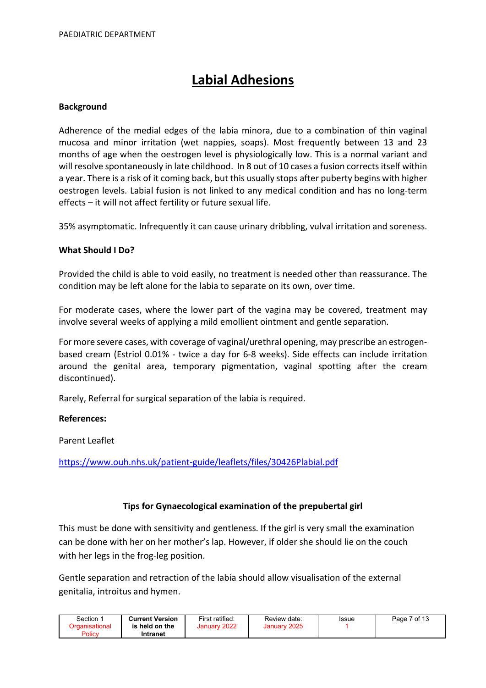# Labial Adhesions

# Background

Adherence of the medial edges of the labia minora, due to a combination of thin vaginal mucosa and minor irritation (wet nappies, soaps). Most frequently between 13 and 23 months of age when the oestrogen level is physiologically low. This is a normal variant and will resolve spontaneously in late childhood. In 8 out of 10 cases a fusion corrects itself within a year. There is a risk of it coming back, but this usually stops after puberty begins with higher oestrogen levels. Labial fusion is not linked to any medical condition and has no long-term effects – it will not affect fertility or future sexual life.

35% asymptomatic. Infrequently it can cause urinary dribbling, vulval irritation and soreness.

# What Should I Do?

Provided the child is able to void easily, no treatment is needed other than reassurance. The condition may be left alone for the labia to separate on its own, over time.

For moderate cases, where the lower part of the vagina may be covered, treatment may involve several weeks of applying a mild emollient ointment and gentle separation.

For more severe cases, with coverage of vaginal/urethral opening, may prescribe an estrogenbased cream (Estriol 0.01% - twice a day for 6-8 weeks). Side effects can include irritation around the genital area, temporary pigmentation, vaginal spotting after the cream discontinued).

Rarely, Referral for surgical separation of the labia is required.

# References:

Parent Leaflet

https://www.ouh.nhs.uk/patient-guide/leaflets/files/30426Plabial.pdf

# Tips for Gynaecological examination of the prepubertal girl

This must be done with sensitivity and gentleness. If the girl is very small the examination can be done with her on her mother's lap. However, if older she should lie on the couch with her legs in the frog-leg position.

Gentle separation and retraction of the labia should allow visualisation of the external genitalia, introitus and hymen.

| Section 1 | <b>Current Version</b> | First ratified: | Review date: | Issue | 7 of 13<br>Page. |
|-----------|------------------------|-----------------|--------------|-------|------------------|
|           | is held on the         | January 2022    | January 2025 |       |                  |
| Policy    | Intranet               |                 |              |       |                  |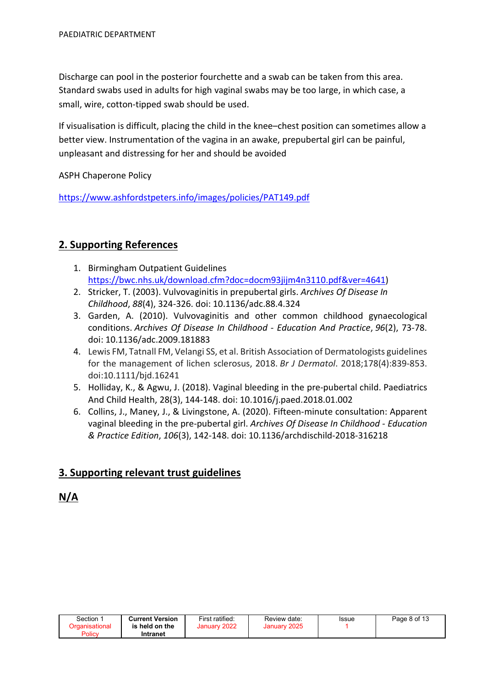Discharge can pool in the posterior fourchette and a swab can be taken from this area. Standard swabs used in adults for high vaginal swabs may be too large, in which case, a small, wire, cotton-tipped swab should be used.

If visualisation is difficult, placing the child in the knee–chest position can sometimes allow a better view. Instrumentation of the vagina in an awake, prepubertal girl can be painful, unpleasant and distressing for her and should be avoided

ASPH Chaperone Policy

https://www.ashfordstpeters.info/images/policies/PAT149.pdf

# 2. Supporting References

- 1. Birmingham Outpatient Guidelines https://bwc.nhs.uk/download.cfm?doc=docm93jijm4n3110.pdf&ver=4641)
- 2. Stricker, T. (2003). Vulvovaginitis in prepubertal girls. Archives Of Disease In Childhood, 88(4), 324-326. doi: 10.1136/adc.88.4.324
- 3. Garden, A. (2010). Vulvovaginitis and other common childhood gynaecological conditions. Archives Of Disease In Childhood - Education And Practice, 96(2), 73-78. doi: 10.1136/adc.2009.181883
- 4. Lewis FM, Tatnall FM, Velangi SS, et al. British Association of Dermatologists guidelines for the management of lichen sclerosus, 2018. Br J Dermatol. 2018;178(4):839-853. doi:10.1111/bjd.16241
- 5. Holliday, K., & Agwu, J. (2018). Vaginal bleeding in the pre-pubertal child. Paediatrics And Child Health, 28(3), 144-148. doi: 10.1016/j.paed.2018.01.002
- 6. Collins, J., Maney, J., & Livingstone, A. (2020). Fifteen-minute consultation: Apparent vaginal bleeding in the pre-pubertal girl. Archives Of Disease In Childhood - Education & Practice Edition, 106(3), 142-148. doi: 10.1136/archdischild-2018-316218

# 3. Supporting relevant trust guidelines

# N/A

| Section ∵ | <b>Current Version</b> | First ratified: | Review date:           | Issue | Page 8 of 13 |
|-----------|------------------------|-----------------|------------------------|-------|--------------|
| Policy    | is held on the         | January 2022    | 2025<br><b>January</b> |       |              |
|           | Intranet               |                 |                        |       |              |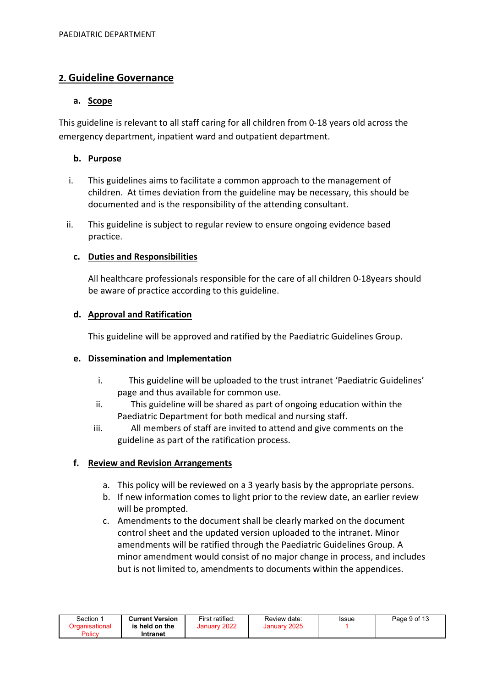# 2. Guideline Governance

# a. Scope

This guideline is relevant to all staff caring for all children from 0-18 years old across the emergency department, inpatient ward and outpatient department.

# b. Purpose

- i. This guidelines aims to facilitate a common approach to the management of children. At times deviation from the guideline may be necessary, this should be documented and is the responsibility of the attending consultant.
- ii. This guideline is subject to regular review to ensure ongoing evidence based practice.

# c. Duties and Responsibilities

All healthcare professionals responsible for the care of all children 0-18years should be aware of practice according to this guideline.

# d. Approval and Ratification

This guideline will be approved and ratified by the Paediatric Guidelines Group.

# e. Dissemination and Implementation

- i. This guideline will be uploaded to the trust intranet 'Paediatric Guidelines' page and thus available for common use.
- ii. This guideline will be shared as part of ongoing education within the Paediatric Department for both medical and nursing staff.
- iii. All members of staff are invited to attend and give comments on the guideline as part of the ratification process.

# f. Review and Revision Arrangements

- a. This policy will be reviewed on a 3 yearly basis by the appropriate persons.
- b. If new information comes to light prior to the review date, an earlier review will be prompted.
- c. Amendments to the document shall be clearly marked on the document control sheet and the updated version uploaded to the intranet. Minor amendments will be ratified through the Paediatric Guidelines Group. A minor amendment would consist of no major change in process, and includes but is not limited to, amendments to documents within the appendices.

| Section        | <b>Current Version</b> | First ratified: | Review date: | Issue | Page 9 of 13 |
|----------------|------------------------|-----------------|--------------|-------|--------------|
| Organisational | is held on the         | January 2022    | January 2025 |       |              |
| Policy         | Intranet               |                 |              |       |              |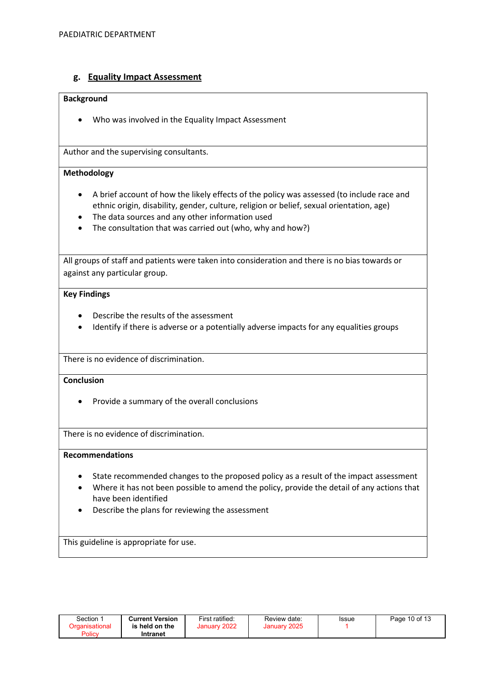# g. Equality Impact Assessment

#### Background

Who was involved in the Equality Impact Assessment

Author and the supervising consultants.

#### Methodology

- A brief account of how the likely effects of the policy was assessed (to include race and ethnic origin, disability, gender, culture, religion or belief, sexual orientation, age)
- The data sources and any other information used
- The consultation that was carried out (who, why and how?)

All groups of staff and patients were taken into consideration and there is no bias towards or against any particular group.

#### Key Findings

- Describe the results of the assessment
- Identify if there is adverse or a potentially adverse impacts for any equalities groups

There is no evidence of discrimination.

### **Conclusion**

• Provide a summary of the overall conclusions

There is no evidence of discrimination.

#### Recommendations

- State recommended changes to the proposed policy as a result of the impact assessment
- Where it has not been possible to amend the policy, provide the detail of any actions that have been identified
- Describe the plans for reviewing the assessment

This guideline is appropriate for use.

| Section<br>Organisational<br>Policy | <b>Current Version</b><br>is held on the<br>Intranet | First ratified:<br>January 2022 | Review date:<br>January 2025 | Issue | Page 10 of 13 |
|-------------------------------------|------------------------------------------------------|---------------------------------|------------------------------|-------|---------------|
|                                     |                                                      |                                 |                              |       |               |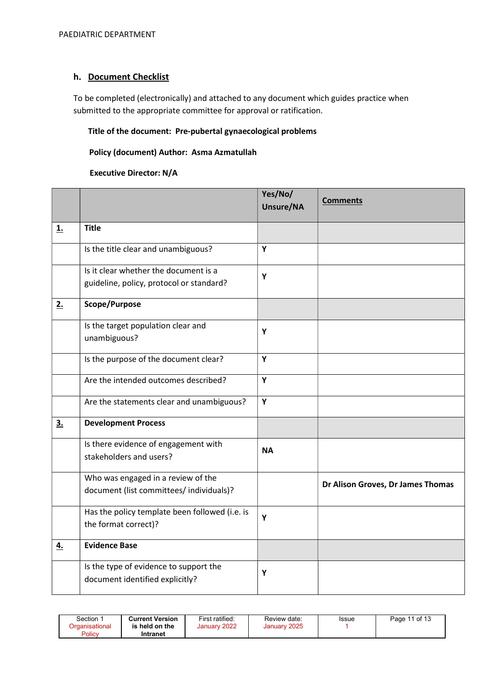# h. Document Checklist

To be completed (electronically) and attached to any document which guides practice when submitted to the appropriate committee for approval or ratification.

# Title of the document: Pre-pubertal gynaecological problems

### Policy (document) Author: Asma Azmatullah

#### Executive Director: N/A

|           |                                                                                   | Yes/No/<br>Unsure/NA | <b>Comments</b>                   |
|-----------|-----------------------------------------------------------------------------------|----------------------|-----------------------------------|
| <b>1.</b> | <b>Title</b>                                                                      |                      |                                   |
|           | Is the title clear and unambiguous?                                               | Y                    |                                   |
|           | Is it clear whether the document is a<br>guideline, policy, protocol or standard? | Y                    |                                   |
| 2.        | Scope/Purpose                                                                     |                      |                                   |
|           | Is the target population clear and<br>unambiguous?                                | Y                    |                                   |
|           | Is the purpose of the document clear?                                             | Y                    |                                   |
|           | Are the intended outcomes described?                                              | Y                    |                                   |
|           | Are the statements clear and unambiguous?                                         | Y                    |                                   |
| 3.5       | <b>Development Process</b>                                                        |                      |                                   |
|           | Is there evidence of engagement with<br>stakeholders and users?                   | <b>NA</b>            |                                   |
|           | Who was engaged in a review of the<br>document (list committees/ individuals)?    |                      | Dr Alison Groves, Dr James Thomas |
|           | Has the policy template been followed (i.e. is<br>the format correct)?            | Y                    |                                   |
| 4.        | <b>Evidence Base</b>                                                              |                      |                                   |
|           | Is the type of evidence to support the<br>document identified explicitly?         | Y                    |                                   |

| Section<br>Organisational<br>Policy | <b>Current Version</b><br>is held on the<br>Intranet | First ratified:<br>January 2022 | Review date:<br>January 2025 | <b>Issue</b> | Page 11 of 13 |
|-------------------------------------|------------------------------------------------------|---------------------------------|------------------------------|--------------|---------------|
|-------------------------------------|------------------------------------------------------|---------------------------------|------------------------------|--------------|---------------|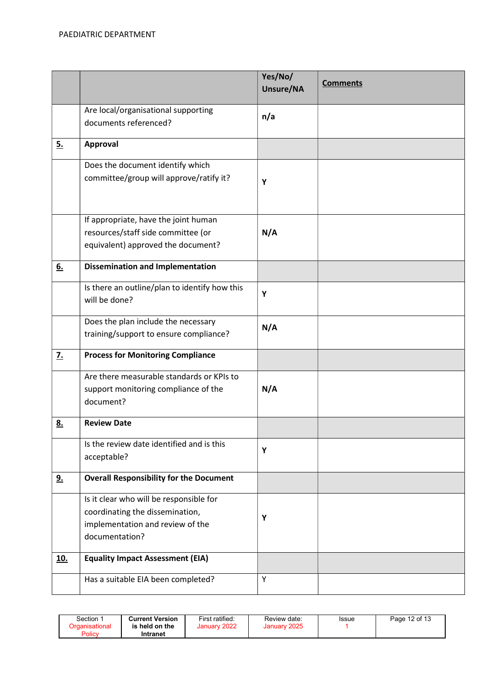|                  |                                                                                                                                  | Yes/No/<br>Unsure/NA | <b>Comments</b> |
|------------------|----------------------------------------------------------------------------------------------------------------------------------|----------------------|-----------------|
|                  | Are local/organisational supporting<br>documents referenced?                                                                     | n/a                  |                 |
| 5.               | Approval                                                                                                                         |                      |                 |
|                  | Does the document identify which<br>committee/group will approve/ratify it?                                                      | Y                    |                 |
|                  | If appropriate, have the joint human<br>resources/staff side committee (or<br>equivalent) approved the document?                 | N/A                  |                 |
| 6.               | <b>Dissemination and Implementation</b>                                                                                          |                      |                 |
|                  | Is there an outline/plan to identify how this<br>will be done?                                                                   | Υ                    |                 |
|                  | Does the plan include the necessary<br>training/support to ensure compliance?                                                    | N/A                  |                 |
| $\overline{z}$ . | <b>Process for Monitoring Compliance</b>                                                                                         |                      |                 |
|                  | Are there measurable standards or KPIs to<br>support monitoring compliance of the<br>document?                                   | N/A                  |                 |
| <u>8.</u>        | <b>Review Date</b>                                                                                                               |                      |                 |
|                  | Is the review date identified and is this<br>acceptable?                                                                         | Y                    |                 |
| <u>9.</u>        | <b>Overall Responsibility for the Document</b>                                                                                   |                      |                 |
|                  | Is it clear who will be responsible for<br>coordinating the dissemination,<br>implementation and review of the<br>documentation? | Υ                    |                 |
| <u>10.</u>       | <b>Equality Impact Assessment (EIA)</b>                                                                                          |                      |                 |
|                  | Has a suitable EIA been completed?                                                                                               | Υ                    |                 |

| Section 1<br>Organisational | <b>Current Version</b><br>is held on the | First ratified:<br>January 2022 | Review date:<br>January 2025 | <b>Issue</b> | Page 12 of 13 |
|-----------------------------|------------------------------------------|---------------------------------|------------------------------|--------------|---------------|
| Policy                      | Intranet                                 |                                 |                              |              |               |